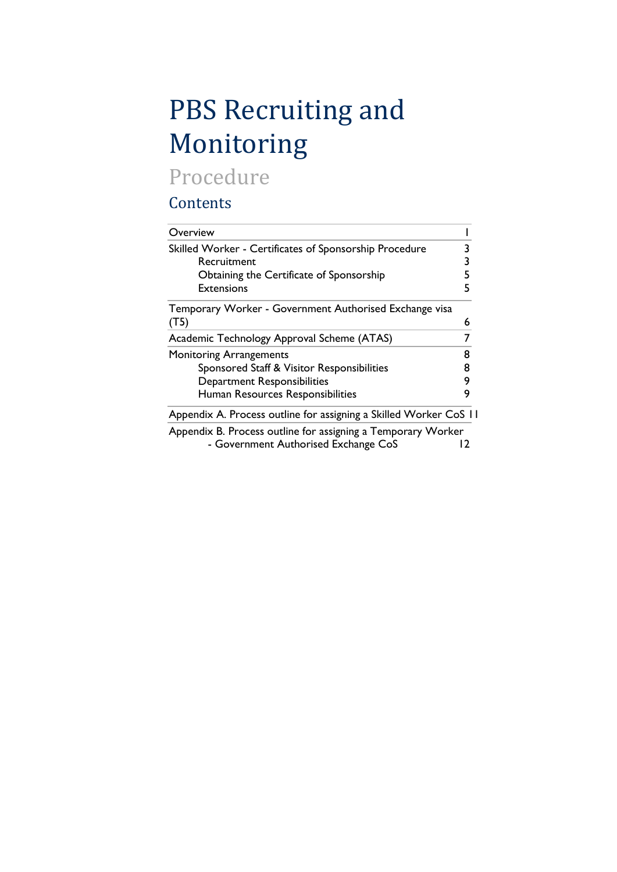# PBS Recruiting and Monitoring

## Procedure

## **Contents**

| Overview                                                          |   |
|-------------------------------------------------------------------|---|
| Skilled Worker - Certificates of Sponsorship Procedure            |   |
| Recruitment                                                       | 3 |
| Obtaining the Certificate of Sponsorship                          | 5 |
| <b>Extensions</b>                                                 |   |
| Temporary Worker - Government Authorised Exchange visa            |   |
| (T5)                                                              | 6 |
| Academic Technology Approval Scheme (ATAS)                        |   |
| <b>Monitoring Arrangements</b>                                    | 8 |
| Sponsored Staff & Visitor Responsibilities                        | 8 |
| <b>Department Responsibilities</b>                                | 9 |
| Human Resources Responsibilities                                  | 9 |
| Appendix A. Process outline for assigning a Skilled Worker CoS 11 |   |
| Appendix B. Process outline for assigning a Temporary Worker      |   |
| - Government Authorised Exchange CoS                              |   |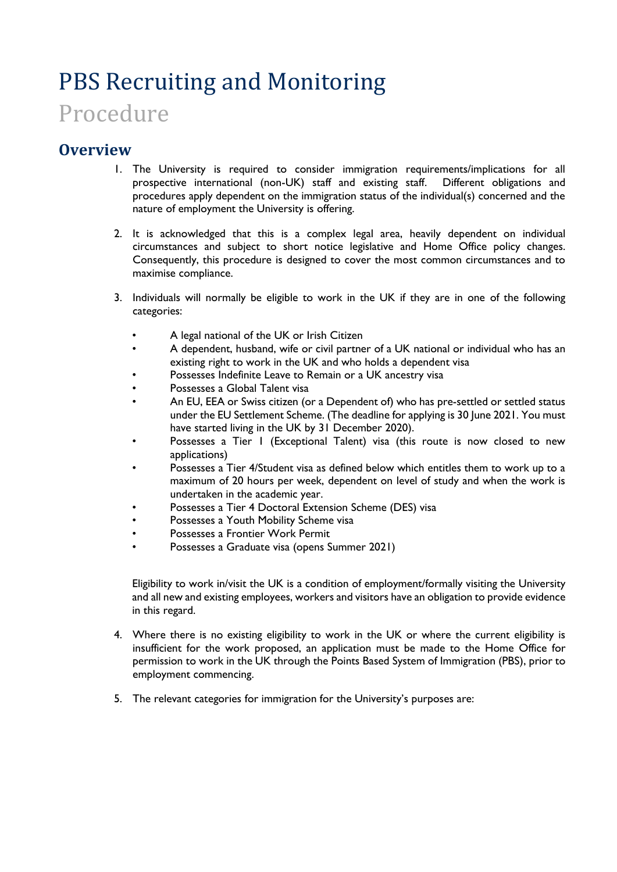# PBS Recruiting and Monitoring

## Procedure

### <span id="page-1-0"></span>**Overview**

- 1. The University is required to consider immigration requirements/implications for all prospective international (non-UK) staff and existing staff. Different obligations and procedures apply dependent on the immigration status of the individual(s) concerned and the nature of employment the University is offering.
- 2. It is acknowledged that this is a complex legal area, heavily dependent on individual circumstances and subject to short notice legislative and Home Office policy changes. Consequently, this procedure is designed to cover the most common circumstances and to maximise compliance.
- 3. Individuals will normally be eligible to work in the UK if they are in one of the following categories:
	- A legal national of the UK or Irish Citizen
	- A dependent, husband, wife or civil partner of a UK national or individual who has an existing right to work in the UK and who holds a dependent visa
	- Possesses Indefinite Leave to Remain or a UK ancestry visa
	- Possesses a Global Talent visa
	- An EU, EEA or Swiss citizen (or a Dependent of) who has pre-settled or settled status under the EU Settlement Scheme. (The deadline for applying is 30 June 2021. You must have started living in the UK by 31 December 2020).
	- Possesses a Tier 1 (Exceptional Talent) visa (this route is now closed to new applications)
	- Possesses a Tier 4/Student visa as defined below which entitles them to work up to a maximum of 20 hours per week, dependent on level of study and when the work is undertaken in the academic year.
	- Possesses a Tier 4 Doctoral Extension Scheme (DES) visa
	- Possesses a Youth Mobility Scheme visa
	- Possesses a Frontier Work Permit
	- Possesses a Graduate visa (opens Summer 2021)

Eligibility to work in/visit the UK is a condition of employment/formally visiting the University and all new and existing employees, workers and visitors have an obligation to provide evidence in this regard.

- 4. Where there is no existing eligibility to work in the UK or where the current eligibility is insufficient for the work proposed, an application must be made to the Home Office for permission to work in the UK through the Points Based System of Immigration (PBS), prior to employment commencing.
- 5. The relevant categories for immigration for the University's purposes are: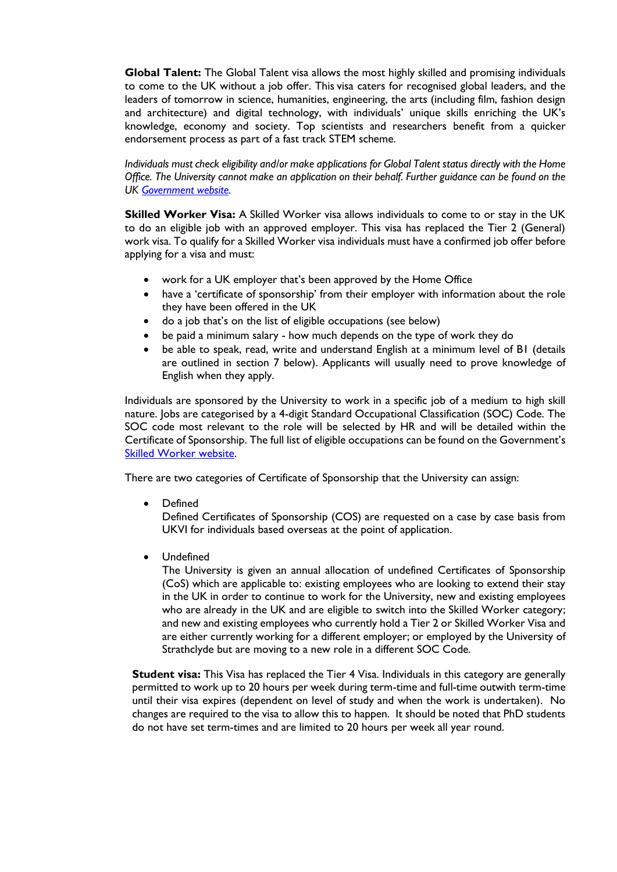**Global Talent:** The Global Talent visa allows the most highly skilled and promising individuals to come to the UK without a job offer. This visa caters for recognised global leaders, and the leaders of tomorrow in science, humanities, engineering, the arts (including film, fashion design and architecture) and digital technology, with individuals' unique skills enriching the UK's knowledge, economy and society. Top scientists and researchers benefit from a quicker endorsement process as part of a fast track STEM scheme.

*Individuals must check eligibility and/or make applications for Global Talent status directly with the Home Office. The University cannot make an application on their behalf. Further guidance can be found on the UK [Government](https://www.gov.uk/global-talent) website.*

**Skilled Worker Visa:** A Skilled Worker visa allows individuals to come to or stay in the UK to do an eligible job with an approved employer. This visa has replaced the Tier 2 (General) work visa. To qualify for a Skilled Worker visa individuals must have a confirmed job offer before applying for a visa and must:

- work for a UK employer that's been approved by the Home Office
- have a 'certificate of sponsorship' from their employer with information about the role they have been offered in the UK
- do a job that's on the list of eligible occupations (see below)
- be paid a minimum salary how much depends on the type of work they do
- be able to speak, read, write and understand English at a minimum level of B1 (details are outlined in section 7 below). Applicants will usually need to prove knowledge of English when they apply.

Individuals are sponsored by the University to work in a specific job of a medium to high skill nature. Jobs are categorised by a 4-digit Standard Occupational Classification (SOC) Code. The SOC code most relevant to the role will be selected by HR and will be detailed within the Certificate of Sponsorship. The full list of eligible occupations can be found on the Government's [Skilled Worker website.](https://www.gov.uk/government/publications/skilled-worker-visa-eligible-occupations/skilled-worker-visa-eligible-occupations-and-codes)

There are two categories of Certificate of Sponsorship that the University can assign:

• Defined

Defined Certificates of Sponsorship (COS) are requested on a case by case basis from UKVI for individuals based overseas at the point of application.

• Undefined

The University is given an annual allocation of undefined Certificates of Sponsorship (CoS) which are applicable to: existing employees who are looking to extend their stay in the UK in order to continue to work for the University, new and existing employees who are already in the UK and are eligible to switch into the Skilled Worker category; and new and existing employees who currently hold a Tier 2 or Skilled Worker Visa and are either currently working for a different employer; or employed by the University of Strathclyde but are moving to a new role in a different SOC Code.

**Student visa:** This Visa has replaced the Tier 4 Visa. Individuals in this category are generally permitted to work up to 20 hours per week during term-time and full-time outwith term-time until their visa expires (dependent on level of study and when the work is undertaken). No changes are required to the visa to allow this to happen. It should be noted that PhD students do not have set term-times and are limited to 20 hours per week all year round.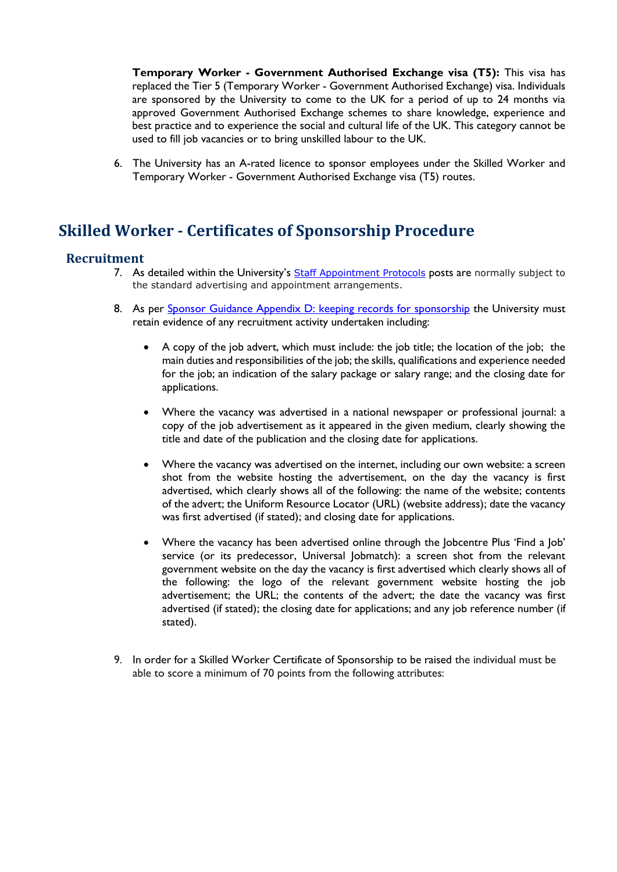**Temporary Worker - Government Authorised Exchange visa (T5):** This visa has replaced the Tier 5 (Temporary Worker - Government Authorised Exchange) visa. Individuals are sponsored by the University to come to the UK for a period of up to 24 months via approved Government Authorised Exchange schemes to share knowledge, experience and best practice and to experience the social and cultural life of the UK. This category cannot be used to fill job vacancies or to bring unskilled labour to the UK.

6. The University has an A-rated licence to sponsor employees under the Skilled Worker and Temporary Worker - Government Authorised Exchange visa (T5) routes.

## <span id="page-3-0"></span>**Skilled Worker - Certificates of Sponsorship Procedure**

#### <span id="page-3-1"></span>**Recruitment**

- 7. As detailed within the University's [Staff Appointment Protocols](https://www.strath.ac.uk/professionalservices/media/ps/humanresources/policies/Staff_Appointment_Protocols.pdf) posts are normally subject to the standard advertising and appointment arrangements.
- 8. As per [Sponsor Guidance Appendix D: keeping records for sponsorship](https://assets.publishing.service.gov.uk/government/uploads/system/uploads/attachment_data/file/946067/2020-12-18_Sponsor-guidance-Appendix-D-12-20_v2.0__002_.pdf) the University must retain evidence of any recruitment activity undertaken including:
	- A copy of the job advert, which must include: the job title; the location of the job; the main duties and responsibilities of the job; the skills, qualifications and experience needed for the job; an indication of the salary package or salary range; and the closing date for applications.
	- Where the vacancy was advertised in a national newspaper or professional journal: a copy of the job advertisement as it appeared in the given medium, clearly showing the title and date of the publication and the closing date for applications.
	- Where the vacancy was advertised on the internet, including our own website: a screen shot from the website hosting the advertisement, on the day the vacancy is first advertised, which clearly shows all of the following: the name of the website; contents of the advert; the Uniform Resource Locator (URL) (website address); date the vacancy was first advertised (if stated); and closing date for applications.
	- Where the vacancy has been advertised online through the Jobcentre Plus 'Find a Job' service (or its predecessor, Universal Jobmatch): a screen shot from the relevant government website on the day the vacancy is first advertised which clearly shows all of the following: the logo of the relevant government website hosting the job advertisement; the URL; the contents of the advert; the date the vacancy was first advertised (if stated); the closing date for applications; and any job reference number (if stated).
- 9. In order for a Skilled Worker Certificate of Sponsorship to be raised the individual must be able to score a minimum of 70 points from the following attributes: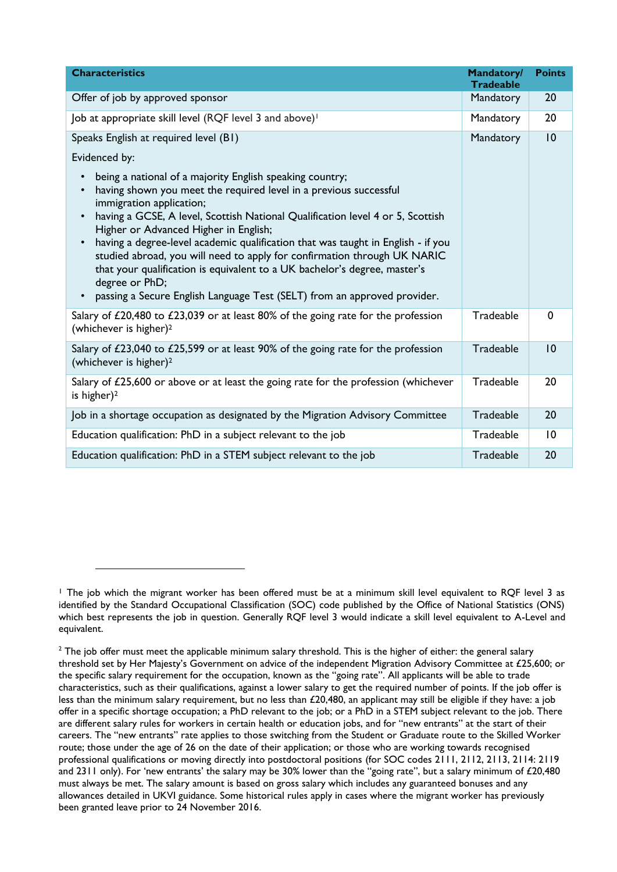| <b>Characteristics</b>                                                                                                                                                                                                                                                                                                                                                                                                                                                                                                                                                                                                                                                                           | <b>Mandatory/</b><br><b>Tradeable</b> | <b>Points</b>   |
|--------------------------------------------------------------------------------------------------------------------------------------------------------------------------------------------------------------------------------------------------------------------------------------------------------------------------------------------------------------------------------------------------------------------------------------------------------------------------------------------------------------------------------------------------------------------------------------------------------------------------------------------------------------------------------------------------|---------------------------------------|-----------------|
| Offer of job by approved sponsor                                                                                                                                                                                                                                                                                                                                                                                                                                                                                                                                                                                                                                                                 | Mandatory                             | 20              |
| Job at appropriate skill level (RQF level 3 and above) <sup>1</sup>                                                                                                                                                                                                                                                                                                                                                                                                                                                                                                                                                                                                                              | Mandatory                             | 20              |
| Speaks English at required level (B1)                                                                                                                                                                                                                                                                                                                                                                                                                                                                                                                                                                                                                                                            | Mandatory                             | 10              |
| Evidenced by:                                                                                                                                                                                                                                                                                                                                                                                                                                                                                                                                                                                                                                                                                    |                                       |                 |
| being a national of a majority English speaking country;<br>$\bullet$<br>having shown you meet the required level in a previous successful<br>$\bullet$<br>immigration application;<br>having a GCSE, A level, Scottish National Qualification level 4 or 5, Scottish<br>$\bullet$<br>Higher or Advanced Higher in English;<br>having a degree-level academic qualification that was taught in English - if you<br>$\bullet$<br>studied abroad, you will need to apply for confirmation through UK NARIC<br>that your qualification is equivalent to a UK bachelor's degree, master's<br>degree or PhD;<br>passing a Secure English Language Test (SELT) from an approved provider.<br>$\bullet$ |                                       |                 |
| Salary of £20,480 to £23,039 or at least 80% of the going rate for the profession<br>(whichever is higher) <sup>2</sup>                                                                                                                                                                                                                                                                                                                                                                                                                                                                                                                                                                          | Tradeable                             | $\mathbf 0$     |
| Salary of £23,040 to £25,599 or at least 90% of the going rate for the profession<br>(whichever is higher) <sup>2</sup>                                                                                                                                                                                                                                                                                                                                                                                                                                                                                                                                                                          | Tradeable                             | 10              |
| Salary of $£25,600$ or above or at least the going rate for the profession (whichever<br>is higher) <sup>2</sup>                                                                                                                                                                                                                                                                                                                                                                                                                                                                                                                                                                                 | Tradeable                             | 20              |
| Job in a shortage occupation as designated by the Migration Advisory Committee                                                                                                                                                                                                                                                                                                                                                                                                                                                                                                                                                                                                                   | Tradeable                             | 20              |
| Education qualification: PhD in a subject relevant to the job                                                                                                                                                                                                                                                                                                                                                                                                                                                                                                                                                                                                                                    | Tradeable                             | $\overline{10}$ |
| Education qualification: PhD in a STEM subject relevant to the job                                                                                                                                                                                                                                                                                                                                                                                                                                                                                                                                                                                                                               | Tradeable                             | 20              |

<span id="page-4-0"></span> $\overline{a}$ 

<sup>&</sup>lt;sup>1</sup> The job which the migrant worker has been offered must be at a minimum skill level equivalent to RQF level 3 as identified by the Standard Occupational Classification (SOC) code published by the Office of National Statistics (ONS) which best represents the job in question. Generally RQF level 3 would indicate a skill level equivalent to A-Level and equivalent.

 $2$  The job offer must meet the applicable minimum salary threshold. This is the higher of either: the general salary threshold set by Her Majesty's Government on advice of the independent Migration Advisory Committee at £25,600; or the specific salary requirement for the occupation, known as the "going rate". All applicants will be able to trade characteristics, such as their qualifications, against a lower salary to get the required number of points. If the job offer is less than the minimum salary requirement, but no less than £20,480, an applicant may still be eligible if they have: a job offer in a specific shortage occupation; a PhD relevant to the job; or a PhD in a STEM subject relevant to the job. There are different salary rules for workers in certain health or education jobs, and for "new entrants" at the start of their careers. The "new entrants" rate applies to those switching from the Student or Graduate route to the Skilled Worker route; those under the age of 26 on the date of their application; or those who are working towards recognised professional qualifications or moving directly into postdoctoral positions (for SOC codes 2111, 2112, 2113, 2114: 2119 and 2311 only). For 'new entrants' the salary may be 30% lower than the "going rate", but a salary minimum of £20,480 must always be met. The salary amount is based on gross salary which includes any guaranteed bonuses and any allowances detailed in UKVI guidance. Some historical rules apply in cases where the migrant worker has previously been granted leave prior to 24 November 2016.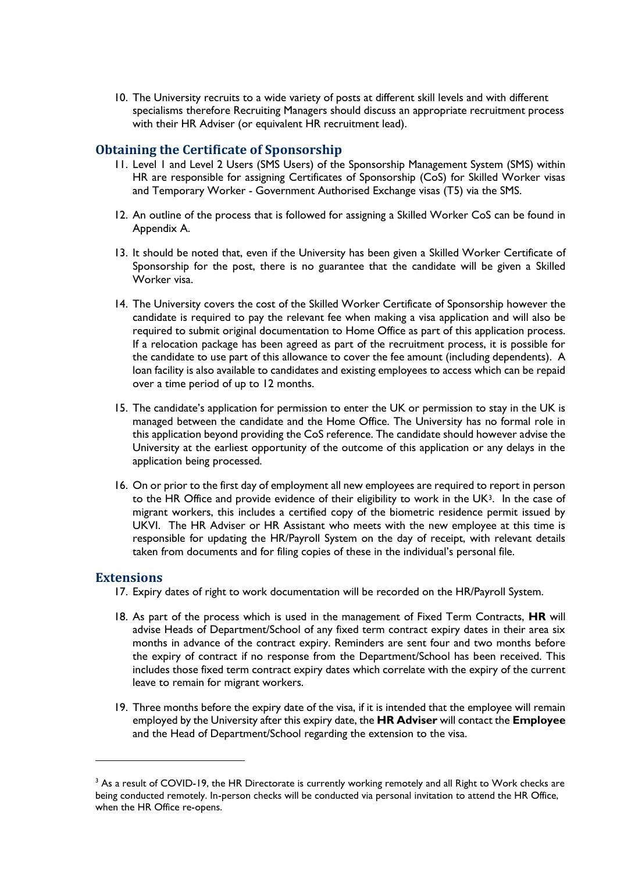10. The University recruits to a wide variety of posts at different skill levels and with different specialisms therefore Recruiting Managers should discuss an appropriate recruitment process with their HR Adviser (or equivalent HR recruitment lead).

#### <span id="page-5-0"></span>**Obtaining the Certificate of Sponsorship**

- 11. Level 1 and Level 2 Users (SMS Users) of the Sponsorship Management System (SMS) within HR are responsible for assigning Certificates of Sponsorship (CoS) for Skilled Worker visas and Temporary Worker - Government Authorised Exchange visas (T5) via the SMS.
- 12. An outline of the process that is followed for assigning a Skilled Worker CoS can be found in Appendix A.
- 13. It should be noted that, even if the University has been given a Skilled Worker Certificate of Sponsorship for the post, there is no guarantee that the candidate will be given a Skilled Worker visa.
- 14. The University covers the cost of the Skilled Worker Certificate of Sponsorship however the candidate is required to pay the relevant fee when making a visa application and will also be required to submit original documentation to Home Office as part of this application process. If a relocation package has been agreed as part of the recruitment process, it is possible for the candidate to use part of this allowance to cover the fee amount (including dependents). A loan facility is also available to candidates and existing employees to access which can be repaid over a time period of up to 12 months.
- 15. The candidate's application for permission to enter the UK or permission to stay in the UK is managed between the candidate and the Home Office. The University has no formal role in this application beyond providing the CoS reference. The candidate should however advise the University at the earliest opportunity of the outcome of this application or any delays in the application being processed.
- 16. On or prior to the first day of employment all new employees are required to report in person to the HR Office and provide evidence of their eligibility to work in the UK3. In the case of migrant workers, this includes a certified copy of the biometric residence permit issued by UKVI. The HR Adviser or HR Assistant who meets with the new employee at this time is responsible for updating the HR/Payroll System on the day of receipt, with relevant details taken from documents and for filing copies of these in the individual's personal file.

#### <span id="page-5-1"></span>**Extensions**

- 17. Expiry dates of right to work documentation will be recorded on the HR/Payroll System.
- 18. As part of the process which is used in the management of Fixed Term Contracts, **HR** will advise Heads of Department/School of any fixed term contract expiry dates in their area six months in advance of the contract expiry. Reminders are sent four and two months before the expiry of contract if no response from the Department/School has been received. This includes those fixed term contract expiry dates which correlate with the expiry of the current leave to remain for migrant workers.
- 19. Three months before the expiry date of the visa, if it is intended that the employee will remain employed by the University after this expiry date, the **HR Adviser** will contact the **Employee**  and the Head of Department/School regarding the extension to the visa.

<sup>&</sup>lt;sup>3</sup> As a result of COVID-19, the HR Directorate is currently working remotely and all Right to Work checks are being conducted remotely. In-person checks will be conducted via personal invitation to attend the HR Office, when the HR Office re-opens.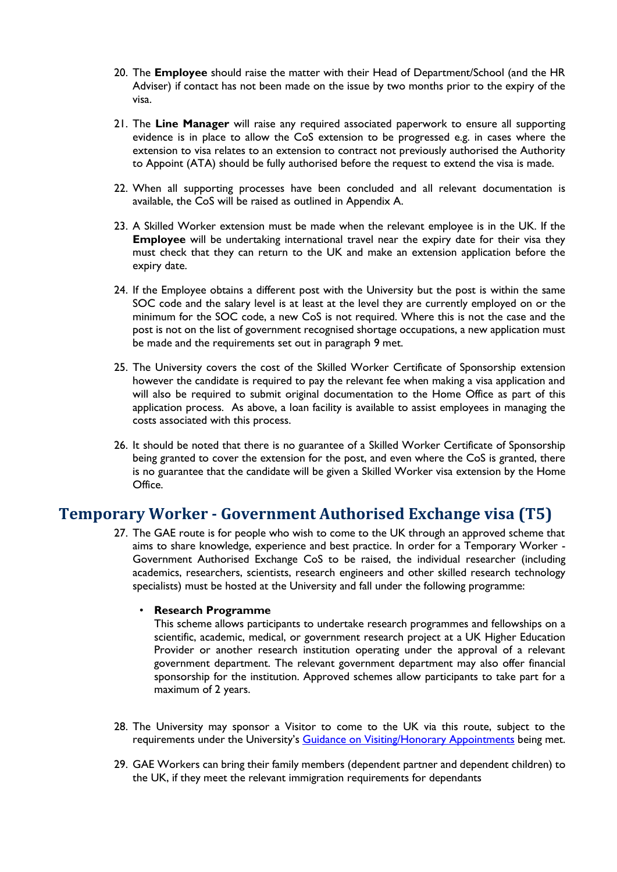- 20. The **Employee** should raise the matter with their Head of Department/School (and the HR Adviser) if contact has not been made on the issue by two months prior to the expiry of the visa.
- 21. The **Line Manager** will raise any required associated paperwork to ensure all supporting evidence is in place to allow the CoS extension to be progressed e.g. in cases where the extension to visa relates to an extension to contract not previously authorised the Authority to Appoint (ATA) should be fully authorised before the request to extend the visa is made.
- 22. When all supporting processes have been concluded and all relevant documentation is available, the CoS will be raised as outlined in Appendix A.
- 23. A Skilled Worker extension must be made when the relevant employee is in the UK. If the **Employee** will be undertaking international travel near the expiry date for their visa they must check that they can return to the UK and make an extension application before the expiry date.
- 24. If the Employee obtains a different post with the University but the post is within the same SOC code and the salary level is at least at the level they are currently employed on or the minimum for the SOC code, a new CoS is not required. Where this is not the case and the post is not on the list of government recognised shortage occupations, a new application must be made and the requirements set out in paragraph 9 met.
- 25. The University covers the cost of the Skilled Worker Certificate of Sponsorship extension however the candidate is required to pay the relevant fee when making a visa application and will also be required to submit original documentation to the Home Office as part of this application process. As above, a loan facility is available to assist employees in managing the costs associated with this process.
- 26. It should be noted that there is no guarantee of a Skilled Worker Certificate of Sponsorship being granted to cover the extension for the post, and even where the CoS is granted, there is no guarantee that the candidate will be given a Skilled Worker visa extension by the Home Office.

## <span id="page-6-0"></span>**Temporary Worker - Government Authorised Exchange visa (T5)**

27. The GAE route is for people who wish to come to the UK through an approved scheme that aims to share knowledge, experience and best practice. In order for a Temporary Worker - Government Authorised Exchange CoS to be raised, the individual researcher (including academics, researchers, scientists, research engineers and other skilled research technology specialists) must be hosted at the University and fall under the following programme:

#### • **Research Programme**

This scheme allows participants to undertake research programmes and fellowships on a scientific, academic, medical, or government research project at a UK Higher Education Provider or another research institution operating under the approval of a relevant government department. The relevant government department may also offer financial sponsorship for the institution. Approved schemes allow participants to take part for a maximum of 2 years.

- 28. The University may sponsor a Visitor to come to the UK via this route, subject to the requirements under the University's [Guidance on Visiting/Honorary Appointments](https://www.strath.ac.uk/professionalservices/media/ps/humanresources/policies/Guidance_on_Visiting-Honorary_Appointments.docx) being met.
- 29. GAE Workers can bring their family members (dependent partner and dependent children) to the UK, if they meet the relevant immigration requirements for dependants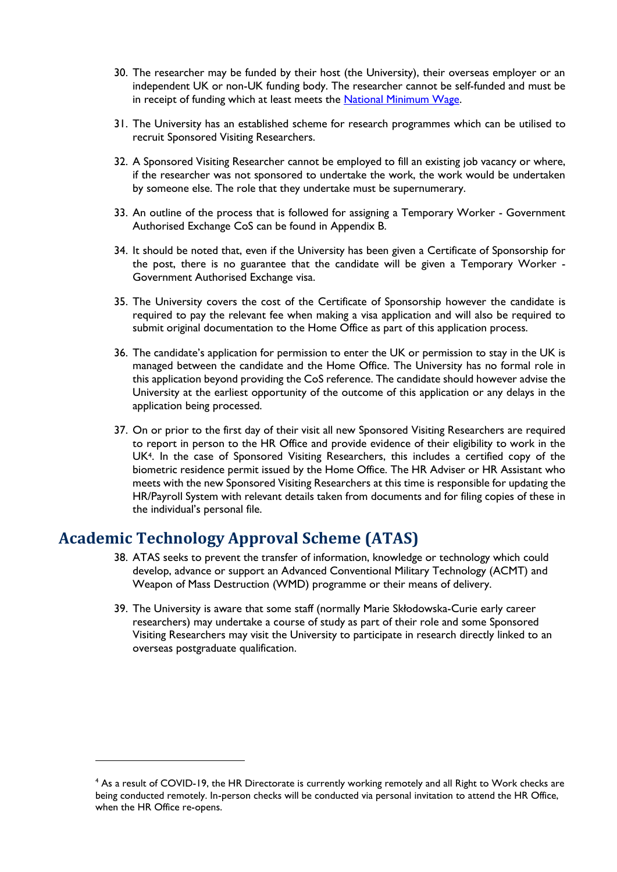- 30. The researcher may be funded by their host (the University), their overseas employer or an independent UK or non-UK funding body. The researcher cannot be self-funded and must be in receipt of funding which at least meets the [National Minimum Wage.](https://www.gov.uk/national-minimum-wage-rates)
- 31. The University has an established scheme for research programmes which can be utilised to recruit Sponsored Visiting Researchers.
- 32. A Sponsored Visiting Researcher cannot be employed to fill an existing job vacancy or where, if the researcher was not sponsored to undertake the work, the work would be undertaken by someone else. The role that they undertake must be supernumerary.
- 33. An outline of the process that is followed for assigning a Temporary Worker Government Authorised Exchange CoS can be found in Appendix B.
- 34. It should be noted that, even if the University has been given a Certificate of Sponsorship for the post, there is no guarantee that the candidate will be given a Temporary Worker - Government Authorised Exchange visa.
- 35. The University covers the cost of the Certificate of Sponsorship however the candidate is required to pay the relevant fee when making a visa application and will also be required to submit original documentation to the Home Office as part of this application process.
- 36. The candidate's application for permission to enter the UK or permission to stay in the UK is managed between the candidate and the Home Office. The University has no formal role in this application beyond providing the CoS reference. The candidate should however advise the University at the earliest opportunity of the outcome of this application or any delays in the application being processed.
- 37. On or prior to the first day of their visit all new Sponsored Visiting Researchers are required to report in person to the HR Office and provide evidence of their eligibility to work in the UK4. In the case of Sponsored Visiting Researchers, this includes a certified copy of the biometric residence permit issued by the Home Office. The HR Adviser or HR Assistant who meets with the new Sponsored Visiting Researchers at this time is responsible for updating the HR/Payroll System with relevant details taken from documents and for filing copies of these in the individual's personal file.

## <span id="page-7-0"></span>**Academic Technology Approval Scheme (ATAS)**

- 38. ATAS seeks to prevent the transfer of information, knowledge or technology which could develop, advance or support an Advanced Conventional Military Technology (ACMT) and Weapon of Mass Destruction (WMD) programme or their means of delivery.
- 39. The University is aware that some staff (normally Marie Skłodowska-Curie early career researchers) may undertake a course of study as part of their role and some Sponsored Visiting Researchers may visit the University to participate in research directly linked to an overseas postgraduate qualification.

<sup>4</sup> As a result of COVID-19, the HR Directorate is currently working remotely and all Right to Work checks are being conducted remotely. In-person checks will be conducted via personal invitation to attend the HR Office, when the HR Office re-opens.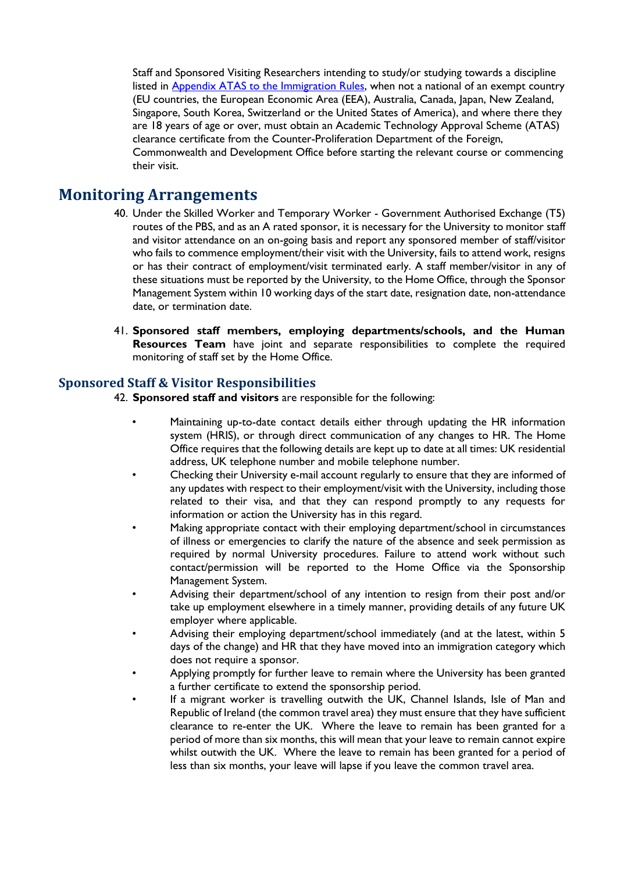Staff and Sponsored Visiting Researchers intending to study/or studying towards a discipline listed in [Appendix ATAS to the Immigration Rules,](https://www.gov.uk/guidance/immigration-rules/immigration-rules-appendix-atas-academic-technology-approval-scheme-atas) when not a national of an exempt country (EU countries, the European Economic Area (EEA), Australia, Canada, Japan, New Zealand, Singapore, South Korea, Switzerland or the United States of America), and where there they are 18 years of age or over, must obtain an Academic Technology Approval Scheme (ATAS) clearance certificate from the Counter-Proliferation Department of the Foreign, Commonwealth and Development Office before starting the relevant course or commencing their visit.

### <span id="page-8-0"></span>**Monitoring Arrangements**

- 40. Under the Skilled Worker and Temporary Worker Government Authorised Exchange (T5) routes of the PBS, and as an A rated sponsor, it is necessary for the University to monitor staff and visitor attendance on an on-going basis and report any sponsored member of staff/visitor who fails to commence employment/their visit with the University, fails to attend work, resigns or has their contract of employment/visit terminated early. A staff member/visitor in any of these situations must be reported by the University, to the Home Office, through the Sponsor Management System within 10 working days of the start date, resignation date, non-attendance date, or termination date.
- 41. **Sponsored staff members, employing departments/schools, and the Human Resources Team** have joint and separate responsibilities to complete the required monitoring of staff set by the Home Office.

#### <span id="page-8-1"></span>**Sponsored Staff & Visitor Responsibilities**

42. **Sponsored staff and visitors** are responsible for the following:

- Maintaining up-to-date contact details either through updating the HR information system (HRIS), or through direct communication of any changes to HR. The Home Office requires that the following details are kept up to date at all times: UK residential address, UK telephone number and mobile telephone number.
- Checking their University e-mail account regularly to ensure that they are informed of any updates with respect to their employment/visit with the University, including those related to their visa, and that they can respond promptly to any requests for information or action the University has in this regard.
- Making appropriate contact with their employing department/school in circumstances of illness or emergencies to clarify the nature of the absence and seek permission as required by normal University procedures. Failure to attend work without such contact/permission will be reported to the Home Office via the Sponsorship Management System.
- Advising their department/school of any intention to resign from their post and/or take up employment elsewhere in a timely manner, providing details of any future UK employer where applicable.
- Advising their employing department/school immediately (and at the latest, within 5 days of the change) and HR that they have moved into an immigration category which does not require a sponsor.
- Applying promptly for further leave to remain where the University has been granted a further certificate to extend the sponsorship period.
- If a migrant worker is travelling outwith the UK, Channel Islands, Isle of Man and Republic of Ireland (the common travel area) they must ensure that they have sufficient clearance to re-enter the UK. Where the leave to remain has been granted for a period of more than six months, this will mean that your leave to remain cannot expire whilst outwith the UK. Where the leave to remain has been granted for a period of less than six months, your leave will lapse if you leave the common travel area.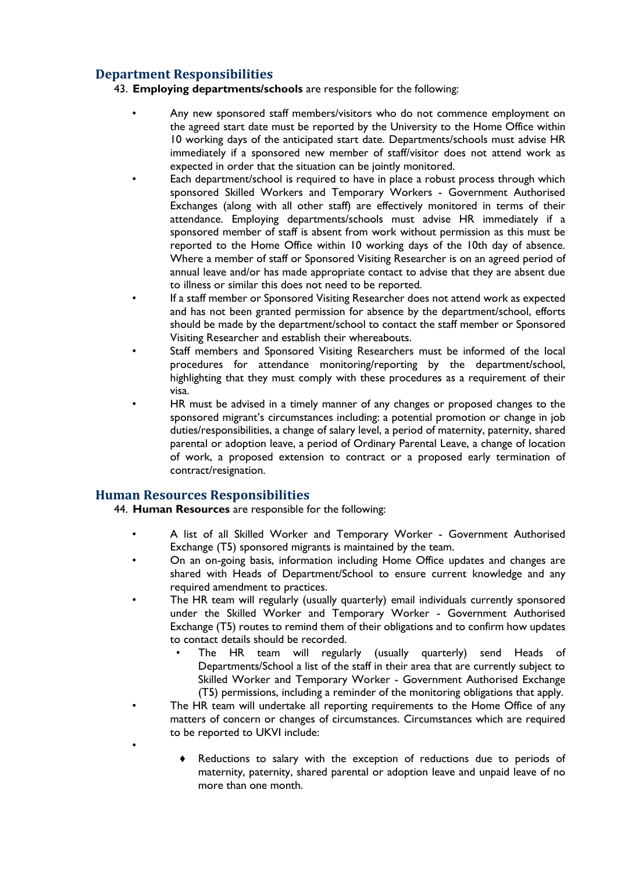#### <span id="page-9-0"></span>**Department Responsibilities**

- 43. **Employing departments/schools** are responsible for the following:
	- Any new sponsored staff members/visitors who do not commence employment on the agreed start date must be reported by the University to the Home Office within 10 working days of the anticipated start date. Departments/schools must advise HR immediately if a sponsored new member of staff/visitor does not attend work as expected in order that the situation can be jointly monitored.
	- Each department/school is required to have in place a robust process through which sponsored Skilled Workers and Temporary Workers - Government Authorised Exchanges (along with all other staff) are effectively monitored in terms of their attendance. Employing departments/schools must advise HR immediately if a sponsored member of staff is absent from work without permission as this must be reported to the Home Office within 10 working days of the 10th day of absence. Where a member of staff or Sponsored Visiting Researcher is on an agreed period of annual leave and/or has made appropriate contact to advise that they are absent due to illness or similar this does not need to be reported.
	- If a staff member or Sponsored Visiting Researcher does not attend work as expected and has not been granted permission for absence by the department/school, efforts should be made by the department/school to contact the staff member or Sponsored Visiting Researcher and establish their whereabouts.
	- Staff members and Sponsored Visiting Researchers must be informed of the local procedures for attendance monitoring/reporting by the department/school, highlighting that they must comply with these procedures as a requirement of their visa.
	- HR must be advised in a timely manner of any changes or proposed changes to the sponsored migrant's circumstances including: a potential promotion or change in job duties/responsibilities, a change of salary level, a period of maternity, paternity, shared parental or adoption leave, a period of Ordinary Parental Leave, a change of location of work, a proposed extension to contract or a proposed early termination of contract/resignation.

#### <span id="page-9-1"></span>**Human Resources Responsibilities**

•

44. **Human Resources** are responsible for the following:

- A list of all Skilled Worker and Temporary Worker Government Authorised Exchange (T5) sponsored migrants is maintained by the team.
- On an on-going basis, information including Home Office updates and changes are shared with Heads of Department/School to ensure current knowledge and any required amendment to practices.
- The HR team will regularly (usually quarterly) email individuals currently sponsored under the Skilled Worker and Temporary Worker - Government Authorised Exchange (T5) routes to remind them of their obligations and to confirm how updates to contact details should be recorded.
	- The HR team will regularly (usually quarterly) send Heads of Departments/School a list of the staff in their area that are currently subject to Skilled Worker and Temporary Worker - Government Authorised Exchange (T5) permissions, including a reminder of the monitoring obligations that apply.
- The HR team will undertake all reporting requirements to the Home Office of any matters of concern or changes of circumstances. Circumstances which are required to be reported to UKVI include:
	- Reductions to salary with the exception of reductions due to periods of maternity, paternity, shared parental or adoption leave and unpaid leave of no more than one month.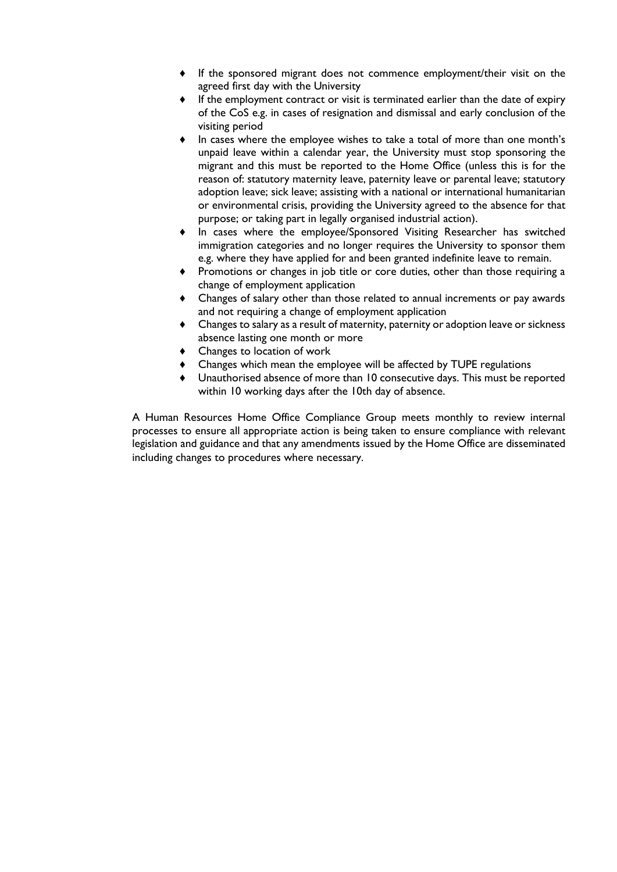- If the sponsored migrant does not commence employment/their visit on the agreed first day with the University
- If the employment contract or visit is terminated earlier than the date of expiry of the CoS e.g. in cases of resignation and dismissal and early conclusion of the visiting period
- In cases where the employee wishes to take a total of more than one month's unpaid leave within a calendar year, the University must stop sponsoring the migrant and this must be reported to the Home Office (unless this is for the reason of: statutory maternity leave, paternity leave or parental leave; statutory adoption leave; sick leave; assisting with a national or international humanitarian or environmental crisis, providing the University agreed to the absence for that purpose; or taking part in legally organised industrial action).
- In cases where the employee/Sponsored Visiting Researcher has switched immigration categories and no longer requires the University to sponsor them e.g. where they have applied for and been granted indefinite leave to remain.
- Promotions or changes in job title or core duties, other than those requiring a change of employment application
- Changes of salary other than those related to annual increments or pay awards and not requiring a change of employment application
- Changes to salary as a result of maternity, paternity or adoption leave or sickness absence lasting one month or more
- Changes to location of work
- Changes which mean the employee will be affected by TUPE regulations
- Unauthorised absence of more than 10 consecutive days. This must be reported within 10 working days after the 10th day of absence.

A Human Resources Home Office Compliance Group meets monthly to review internal processes to ensure all appropriate action is being taken to ensure compliance with relevant legislation and guidance and that any amendments issued by the Home Office are disseminated including changes to procedures where necessary.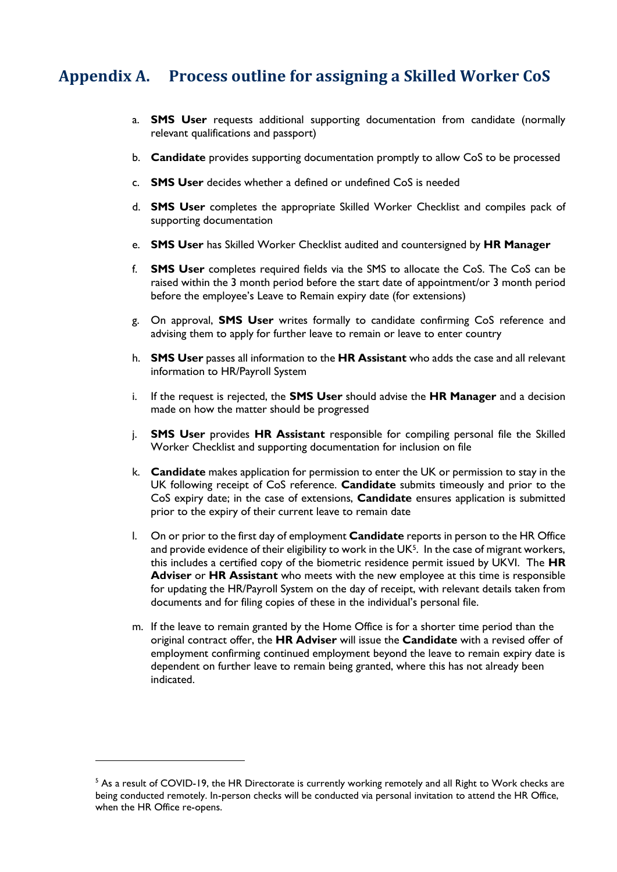## <span id="page-11-0"></span>**Appendix A. Process outline for assigning a Skilled Worker CoS**

- a. **SMS User** requests additional supporting documentation from candidate (normally relevant qualifications and passport)
- b. **Candidate** provides supporting documentation promptly to allow CoS to be processed
- c. **SMS User** decides whether a defined or undefined CoS is needed
- d. **SMS User** completes the appropriate Skilled Worker Checklist and compiles pack of supporting documentation
- e. **SMS User** has Skilled Worker Checklist audited and countersigned by **HR Manager**
- f. **SMS User** completes required fields via the SMS to allocate the CoS. The CoS can be raised within the 3 month period before the start date of appointment/or 3 month period before the employee's Leave to Remain expiry date (for extensions)
- g. On approval, **SMS User** writes formally to candidate confirming CoS reference and advising them to apply for further leave to remain or leave to enter country
- h. **SMS User** passes all information to the **HR Assistant** who adds the case and all relevant information to HR/Payroll System
- i. If the request is rejected, the **SMS User** should advise the **HR Manager** and a decision made on how the matter should be progressed
- j. **SMS User** provides **HR Assistant** responsible for compiling personal file the Skilled Worker Checklist and supporting documentation for inclusion on file
- k. **Candidate** makes application for permission to enter the UK or permission to stay in the UK following receipt of CoS reference. **Candidate** submits timeously and prior to the CoS expiry date; in the case of extensions, **Candidate** ensures application is submitted prior to the expiry of their current leave to remain date
- l. On or prior to the first day of employment **Candidate** reports in person to the HR Office and provide evidence of their eligibility to work in the UK $5$ . In the case of migrant workers, this includes a certified copy of the biometric residence permit issued by UKVI. The **HR Adviser** or **HR Assistant** who meets with the new employee at this time is responsible for updating the HR/Payroll System on the day of receipt, with relevant details taken from documents and for filing copies of these in the individual's personal file.
- m. If the leave to remain granted by the Home Office is for a shorter time period than the original contract offer, the **HR Adviser** will issue the **Candidate** with a revised offer of employment confirming continued employment beyond the leave to remain expiry date is dependent on further leave to remain being granted, where this has not already been indicated.

 $<sup>5</sup>$  As a result of COVID-19, the HR Directorate is currently working remotely and all Right to Work checks are</sup> being conducted remotely. In-person checks will be conducted via personal invitation to attend the HR Office, when the HR Office re-opens.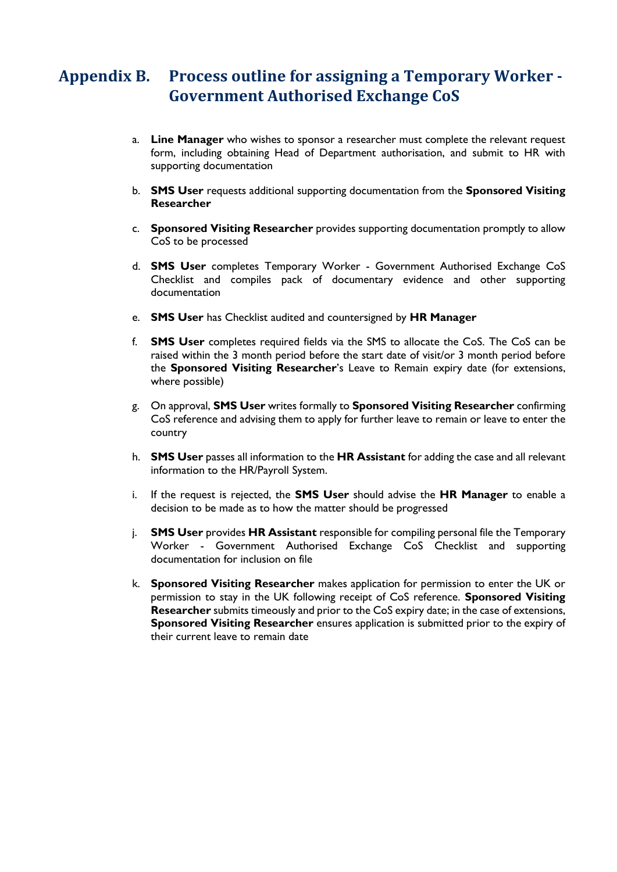## <span id="page-12-0"></span>**Appendix B. Process outline for assigning a Temporary Worker - Government Authorised Exchange CoS**

- a. **Line Manager** who wishes to sponsor a researcher must complete the relevant request form, including obtaining Head of Department authorisation, and submit to HR with supporting documentation
- b. **SMS User** requests additional supporting documentation from the **Sponsored Visiting Researcher**
- c. **Sponsored Visiting Researcher** provides supporting documentation promptly to allow CoS to be processed
- d. **SMS User** completes Temporary Worker Government Authorised Exchange CoS Checklist and compiles pack of documentary evidence and other supporting documentation
- e. **SMS User** has Checklist audited and countersigned by **HR Manager**
- f. **SMS User** completes required fields via the SMS to allocate the CoS. The CoS can be raised within the 3 month period before the start date of visit/or 3 month period before the **Sponsored Visiting Researcher**'s Leave to Remain expiry date (for extensions, where possible)
- g. On approval, **SMS User** writes formally to **Sponsored Visiting Researcher** confirming CoS reference and advising them to apply for further leave to remain or leave to enter the country
- h. **SMS User** passes all information to the **HR Assistant** for adding the case and all relevant information to the HR/Payroll System.
- i. If the request is rejected, the **SMS User** should advise the **HR Manager** to enable a decision to be made as to how the matter should be progressed
- j. **SMS User** provides **HR Assistant** responsible for compiling personal file the Temporary Worker - Government Authorised Exchange CoS Checklist and supporting documentation for inclusion on file
- k. **Sponsored Visiting Researcher** makes application for permission to enter the UK or permission to stay in the UK following receipt of CoS reference. **Sponsored Visiting Researcher** submits timeously and prior to the CoS expiry date; in the case of extensions, **Sponsored Visiting Researcher** ensures application is submitted prior to the expiry of their current leave to remain date